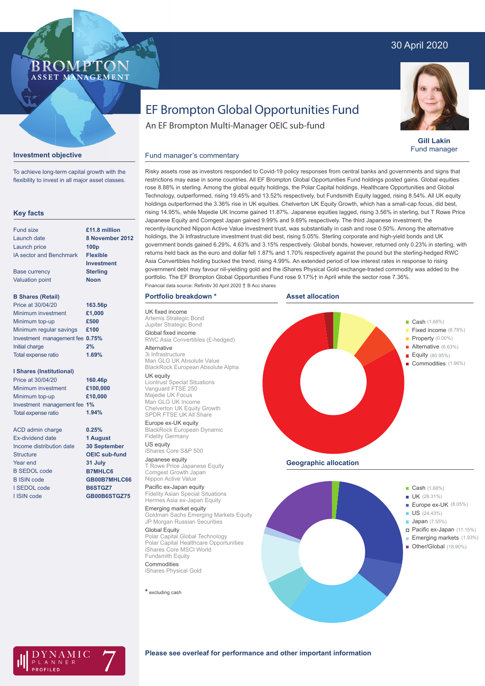# 30 April 2020



**Gill Lakin** Fund manager

# EF Brompton Global Opportunities Fund

An EF Brompton Multi-Manager OEIC sub-fund

### **Investment objective**

BROMP

ASSET MANAGEMENT

To achieve long-term capital growth with the flexibility to invest in all major asset classes.

#### **Key facts**

| Fund size                      | £11.8 million    |
|--------------------------------|------------------|
| Launch date                    | 8 November 2012  |
| Launch price                   | 100 <sub>p</sub> |
| <b>IA sector and Benchmark</b> | <b>Flexible</b>  |
|                                | Investment       |
| <b>Base currency</b>           | <b>Sterling</b>  |
| <b>Valuation point</b>         | <b>Noon</b>      |
| <b>B Shares (Retail)</b>       |                  |
| Price at 30/04/20              | 163.56p          |
| Minimum investment             | £1,000           |
| Minimum top-up                 | £500             |
| Minimum regular savings        | £100             |

#### Investment management fee **0.75%** Initial charge Total expense ratio **2% 1.69%**

## **I Shares (Institutional)**

| Price at 30/04/20            | 160.46p  |
|------------------------------|----------|
| Minimum investment           | £100,000 |
| Minimum top-up               | £10,000  |
| Investment management fee 1% |          |
| Total expense ratio          | 1.94%    |
|                              |          |

**0.25% 1 August 30 September OEIC sub-fund 31 July B7MHLC6 GB00B7MHLC66 B6STGZ7 GB00B6STGZ75**

ACD admin charge Ex-dividend date Income distribution date **Structure** Year end B SEDOL code B ISIN code I SEDOL code I ISIN code

# Risky assets rose as investors responded to Covid-19 policy responses from central banks and governments and signs that restrictions may ease in some countries. All EF Brompton Global Opportunities Fund holdings posted gains. Global equities rose 8.88% in sterling. Among the global equity holdings, the Polar Capital holdings, Healthcare Opportunities and Global Fund manager's commentary

Technology, outperformed, rising 19.45% and 13.52% respectively, but Fundsmith Equity lagged, rising 8.54%. All UK equity holdings outperformed the 3.36% rise in UK equities. Chelverton UK Equity Growth, which has a small-cap focus, did best, rising 14.95%, while Majedie UK Income gained 11.87%. Japanese equities lagged, rising 3.56% in sterling, but T Rowe Price Japanese Equity and Comgest Japan gained 9.99% and 9.89% respectively. The third Japanese investment, the recently-launched Nippon Active Value investment trust, was substantially in cash and rose 0.50%. Among the alternative holdings, the 3i Infrastructure investment trust did best, rising 5.05%. Sterling corporate and high-yield bonds and UK government bonds gained 6.29%, 4.63% and 3.15% respectively. Global bonds, however, returned only 0.23% in sterling, with returns held back as the euro and dollar fell 1.87% and 1.70% respectively against the pound but the sterling-hedged RWC Asia Convertibles holding bucked the trend, rising 4.99%. An extended period of low interest rates in response to rising government debt may favour nil-yielding gold and the iShares Physical Gold exchange-traded commodity was added to the portfolio. The EF Brompton Global Opportunities Fund rose 9.17%† in April while the sector rose 7.36%. Financial data source: Refinitiv 30 April 2020 † B Acc shares

### **Portfolio breakdown \***

UK fixed income Artemis Strategic Bond Jupiter Strategic Bond Global fixed income RWC Asia Convertibles (£-hedged)

## Alternative

3i Infrastructure Man GLG UK Absolute Value BlackRock European Absolute Alpha

UK equity Liontrust Special Situations Vanguard FTSE 250 Majedie UK Focus Man GLG UK Income Chelverton UK Equity Growth SPDR FTSE UK All Share

#### Europe ex-UK equity

BlackRock European Dynamic Fidelity Germany US equity

# iShares Core S&P 500

Japanese equity T Rowe Price Japanese Equity Comgest Growth Japan Nippon Active Value

#### Pacific ex-Japan equity Fidelity Asian Special Situations Hermes Asia ex-Japan Equity

Emerging market equity Goldman Sachs Emerging Markets Equity JP Morgan Russian Securities

#### Global Equity Polar Capital Global Technology

Polar Capital Healthcare Opportunities iShares Core MSCI World Fundsmith Equity

Commodities iShares Physical Gold

**\*** excluding cash







**Please see overleaf for performance and other important information**